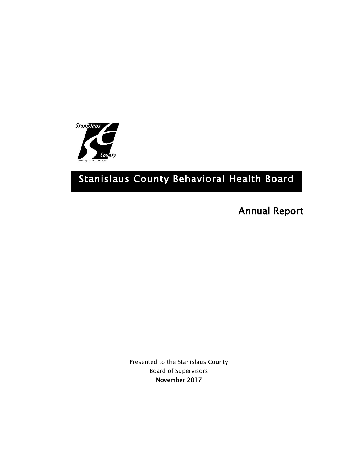

# Stanislaus County Behavioral Health Board

Annual Report

Presented to the Stanislaus County Board of Supervisors November 2017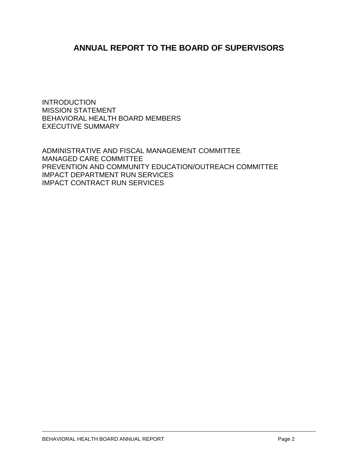# **ANNUAL REPORT TO THE BOARD OF SUPERVISORS**

INTRODUCTION MISSION STATEMENT BEHAVIORAL HEALTH BOARD MEMBERS EXECUTIVE SUMMARY

ADMINISTRATIVE AND FISCAL MANAGEMENT COMMITTEE MANAGED CARE COMMITTEE PREVENTION AND COMMUNITY EDUCATION/OUTREACH COMMITTEE IMPACT DEPARTMENT RUN SERVICES IMPACT CONTRACT RUN SERVICES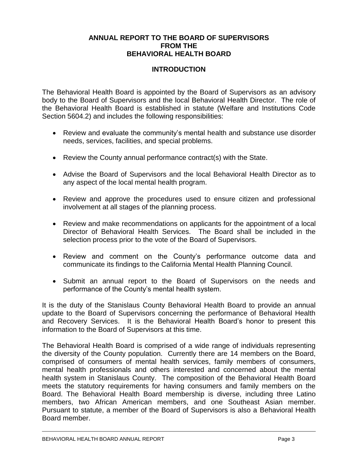#### **ANNUAL REPORT TO THE BOARD OF SUPERVISORS FROM THE BEHAVIORAL HEALTH BOARD**

# **INTRODUCTION**

The Behavioral Health Board is appointed by the Board of Supervisors as an advisory body to the Board of Supervisors and the local Behavioral Health Director. The role of the Behavioral Health Board is established in statute (Welfare and Institutions Code Section 5604.2) and includes the following responsibilities:

- Review and evaluate the community's mental health and substance use disorder needs, services, facilities, and special problems.
- Review the County annual performance contract(s) with the State.
- Advise the Board of Supervisors and the local Behavioral Health Director as to any aspect of the local mental health program.
- Review and approve the procedures used to ensure citizen and professional involvement at all stages of the planning process.
- Review and make recommendations on applicants for the appointment of a local Director of Behavioral Health Services. The Board shall be included in the selection process prior to the vote of the Board of Supervisors.
- Review and comment on the County's performance outcome data and communicate its findings to the California Mental Health Planning Council.
- Submit an annual report to the Board of Supervisors on the needs and performance of the County's mental health system.

It is the duty of the Stanislaus County Behavioral Health Board to provide an annual update to the Board of Supervisors concerning the performance of Behavioral Health and Recovery Services. It is the Behavioral Health Board's honor to present this information to the Board of Supervisors at this time.

The Behavioral Health Board is comprised of a wide range of individuals representing the diversity of the County population. Currently there are 14 members on the Board, comprised of consumers of mental health services, family members of consumers, mental health professionals and others interested and concerned about the mental health system in Stanislaus County. The composition of the Behavioral Health Board meets the statutory requirements for having consumers and family members on the Board. The Behavioral Health Board membership is diverse, including three Latino members, two African American members, and one Southeast Asian member. Pursuant to statute, a member of the Board of Supervisors is also a Behavioral Health Board member.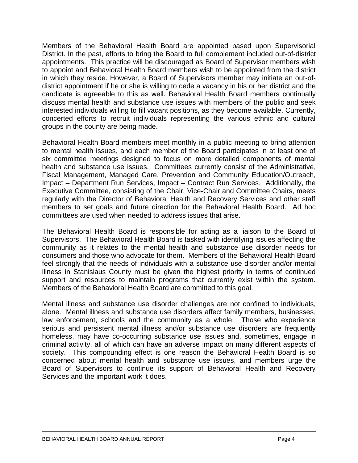Members of the Behavioral Health Board are appointed based upon Supervisorial District. In the past, efforts to bring the Board to full complement included out-of-district appointments. This practice will be discouraged as Board of Supervisor members wish to appoint and Behavioral Health Board members wish to be appointed from the district in which they reside. However, a Board of Supervisors member may initiate an out-ofdistrict appointment if he or she is willing to cede a vacancy in his or her district and the candidate is agreeable to this as well. Behavioral Health Board members continually discuss mental health and substance use issues with members of the public and seek interested individuals willing to fill vacant positions, as they become available. Currently, concerted efforts to recruit individuals representing the various ethnic and cultural groups in the county are being made.

Behavioral Health Board members meet monthly in a public meeting to bring attention to mental health issues, and each member of the Board participates in at least one of six committee meetings designed to focus on more detailed components of mental health and substance use issues. Committees currently consist of the Administrative, Fiscal Management, Managed Care, Prevention and Community Education/Outreach, Impact – Department Run Services, Impact – Contract Run Services. Additionally, the Executive Committee, consisting of the Chair, Vice-Chair and Committee Chairs, meets regularly with the Director of Behavioral Health and Recovery Services and other staff members to set goals and future direction for the Behavioral Health Board. Ad hoc committees are used when needed to address issues that arise.

The Behavioral Health Board is responsible for acting as a liaison to the Board of Supervisors. The Behavioral Health Board is tasked with identifying issues affecting the community as it relates to the mental health and substance use disorder needs for consumers and those who advocate for them. Members of the Behavioral Health Board feel strongly that the needs of individuals with a substance use disorder and/or mental illness in Stanislaus County must be given the highest priority in terms of continued support and resources to maintain programs that currently exist within the system. Members of the Behavioral Health Board are committed to this goal.

Mental illness and substance use disorder challenges are not confined to individuals, alone. Mental illness and substance use disorders affect family members, businesses, law enforcement, schools and the community as a whole. Those who experience serious and persistent mental illness and/or substance use disorders are frequently homeless, may have co-occurring substance use issues and, sometimes, engage in criminal activity, all of which can have an adverse impact on many different aspects of society. This compounding effect is one reason the Behavioral Health Board is so concerned about mental health and substance use issues, and members urge the Board of Supervisors to continue its support of Behavioral Health and Recovery Services and the important work it does.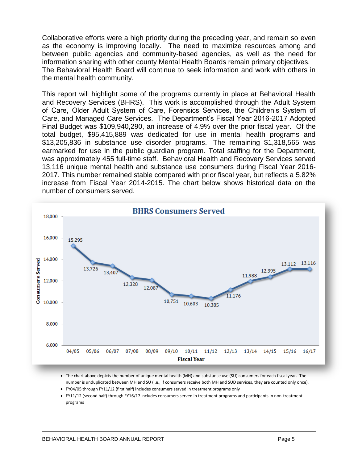Collaborative efforts were a high priority during the preceding year, and remain so even as the economy is improving locally. The need to maximize resources among and between public agencies and community-based agencies, as well as the need for information sharing with other county Mental Health Boards remain primary objectives. The Behavioral Health Board will continue to seek information and work with others in the mental health community.

This report will highlight some of the programs currently in place at Behavioral Health and Recovery Services (BHRS). This work is accomplished through the Adult System of Care, Older Adult System of Care, Forensics Services, the Children's System of Care, and Managed Care Services. The Department's Fiscal Year 2016-2017 Adopted Final Budget was \$109,940,290, an increase of 4.9% over the prior fiscal year. Of the total budget, \$95,415,889 was dedicated for use in mental health programs and \$13,205,836 in substance use disorder programs. The remaining \$1,318,565 was earmarked for use in the public guardian program. Total staffing for the Department, was approximately 455 full-time staff. Behavioral Health and Recovery Services served 13,116 unique mental health and substance use consumers during Fiscal Year 2016- 2017. This number remained stable compared with prior fiscal year, but reflects a 5.82% increase from Fiscal Year 2014-2015. The chart below shows historical data on the number of consumers served.



- The chart above depicts the number of unique mental health (MH) and substance use (SU) consumers for each fiscal year. The number is unduplicated between MH and SU (i.e., if consumers receive both MH and SUD services, they are counted only once).
- FY04/05 through FY11/12 (first half) includes consumers served in treatment programs only
- FY11/12 (second half) through FY16/17 includes consumers served in treatment programs and participants in non-treatment programs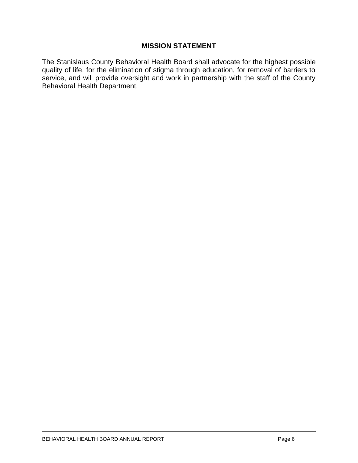#### **MISSION STATEMENT**

The Stanislaus County Behavioral Health Board shall advocate for the highest possible quality of life, for the elimination of stigma through education, for removal of barriers to service, and will provide oversight and work in partnership with the staff of the County Behavioral Health Department.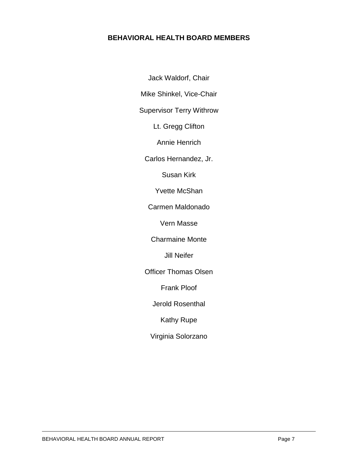# **BEHAVIORAL HEALTH BOARD MEMBERS**

Jack Waldorf, Chair Mike Shinkel, Vice-Chair

Supervisor Terry Withrow

Lt. Gregg Clifton

Annie Henrich

Carlos Hernandez, Jr.

Susan Kirk

Yvette McShan

Carmen Maldonado

Vern Masse

Charmaine Monte

Jill Neifer

Officer Thomas Olsen

Frank Ploof

Jerold Rosenthal

Kathy Rupe

Virginia Solorzano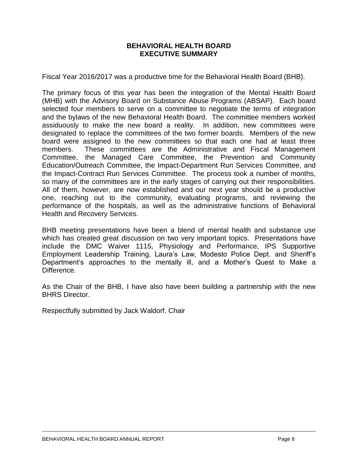#### **BEHAVIORAL HEALTH BOARD EXECUTIVE SUMMARY**

Fiscal Year 2016/2017 was a productive time for the Behavioral Health Board (BHB).

The primary focus of this year has been the integration of the Mental Health Board (MHB) with the Advisory Board on Substance Abuse Programs (ABSAP). Each board selected four members to serve on a committee to negotiate the terms of integration and the bylaws of the new Behavioral Health Board. The committee members worked assiduously to make the new board a reality. In addition, new committees were designated to replace the committees of the two former boards. Members of the new board were assigned to the new committees so that each one had at least three members. These committees are the Administrative and Fiscal Management Committee, the Managed Care Committee, the Prevention and Community Education/Outreach Committee, the Impact-Department Run Services Committee, and the Impact-Contract Run Services Committee. The process took a number of months, so many of the committees are in the early stages of carrying out their responsibilities. All of them, however, are now established and our next year should be a productive one, reaching out to the community, evaluating programs, and reviewing the performance of the hospitals, as well as the administrative functions of Behavioral Health and Recovery Services.

BHB meeting presentations have been a blend of mental health and substance use which has created great discussion on two very important topics. Presentations have include the DMC Waiver 1115, Physiology and Performance, IPS Supportive Employment Leadership Training, Laura's Law, Modesto Police Dept. and Sheriff's Department's approaches to the mentally ill, and a Mother's Quest to Make a Difference.

As the Chair of the BHB, I have also have been building a partnership with the new BHRS Director.

Respectfully submitted by Jack Waldorf, Chair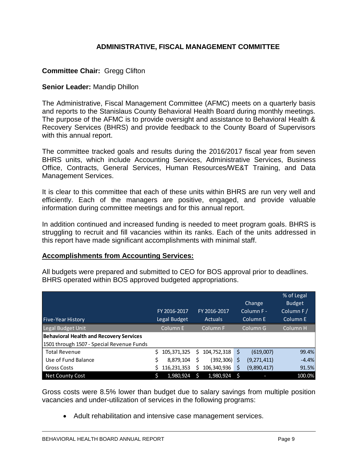# **ADMINISTRATIVE, FISCAL MANAGEMENT COMMITTEE**

# **Committee Chair:** Gregg Clifton

#### **Senior Leader:** Mandip Dhillon

The Administrative, Fiscal Management Committee (AFMC) meets on a quarterly basis and reports to the Stanislaus County Behavioral Health Board during monthly meetings. The purpose of the AFMC is to provide oversight and assistance to Behavioral Health & Recovery Services (BHRS) and provide feedback to the County Board of Supervisors with this annual report.

The committee tracked goals and results during the 2016/2017 fiscal year from seven BHRS units, which include Accounting Services, Administrative Services, Business Office, Contracts, General Services, Human Resources/WE&T Training, and Data Management Services.

It is clear to this committee that each of these units within BHRS are run very well and efficiently. Each of the managers are positive, engaged, and provide valuable information during committee meetings and for this annual report.

In addition continued and increased funding is needed to meet program goals. BHRS is struggling to recruit and fill vacancies within its ranks. Each of the units addressed in this report have made significant accomplishments with minimal staff.

#### **Accomplishments from Accounting Services:**

All budgets were prepared and submitted to CEO for BOS approval prior to deadlines. BHRS operated within BOS approved budgeted appropriations.

|                                                |    |              |   |              |          |               | % of Legal    |
|------------------------------------------------|----|--------------|---|--------------|----------|---------------|---------------|
|                                                |    |              |   |              |          | Change        | <b>Budget</b> |
|                                                |    | FY 2016-2017 |   | FY 2016-2017 |          | Column F-     | Column F/     |
| <b>Five-Year History</b>                       |    | Legal Budget |   | Actuals      |          | Column E      | Column E      |
| Legal Budget Unit                              |    | Column E     |   | Column F     | Column G |               | Column H      |
| <b>Behavioral Health and Recovery Services</b> |    |              |   |              |          |               |               |
| 1501 through 1507 - Special Revenue Funds      |    |              |   |              |          |               |               |
| <b>Total Revenue</b>                           | Ś. | 105,371,325  | S | 104,752,318  | \$       | (619,007)     | 99.4%         |
| Use of Fund Balance                            |    | 8,879,104    | Ś | (392,306)    | Ś        | (9, 271, 411) | $-4.4%$       |
| <b>Gross Costs</b>                             |    | 116,231,353  | S | 106,340,936  | Ś        | (9,890,417)   | 91.5%         |
| Net County Cost                                |    | 1,980,924    |   | 1,980,924    |          |               | 100.0%        |

Gross costs were 8.5% lower than budget due to salary savings from multiple position vacancies and under-utilization of services in the following programs:

Adult rehabilitation and intensive case management services.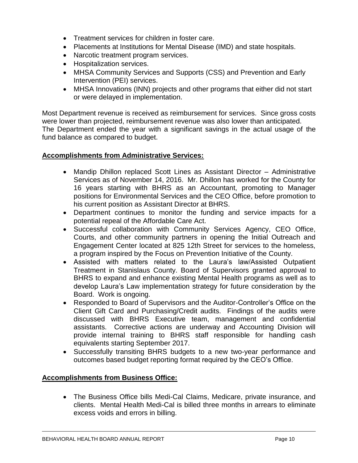- Treatment services for children in foster care.
- Placements at Institutions for Mental Disease (IMD) and state hospitals.
- Narcotic treatment program services.
- Hospitalization services.
- MHSA Community Services and Supports (CSS) and Prevention and Early Intervention (PEI) services.
- MHSA Innovations (INN) projects and other programs that either did not start or were delayed in implementation.

Most Department revenue is received as reimbursement for services. Since gross costs were lower than projected, reimbursement revenue was also lower than anticipated. The Department ended the year with a significant savings in the actual usage of the fund balance as compared to budget.

#### **Accomplishments from Administrative Services:**

- Mandip Dhillon replaced Scott Lines as Assistant Director Administrative Services as of November 14, 2016. Mr. Dhillon has worked for the County for 16 years starting with BHRS as an Accountant, promoting to Manager positions for Environmental Services and the CEO Office, before promotion to his current position as Assistant Director at BHRS.
- Department continues to monitor the funding and service impacts for a potential repeal of the Affordable Care Act.
- Successful collaboration with Community Services Agency, CEO Office, Courts, and other community partners in opening the Initial Outreach and Engagement Center located at 825 12th Street for services to the homeless, a program inspired by the Focus on Prevention Initiative of the County.
- Assisted with matters related to the Laura's law/Assisted Outpatient Treatment in Stanislaus County. Board of Supervisors granted approval to BHRS to expand and enhance existing Mental Health programs as well as to develop Laura's Law implementation strategy for future consideration by the Board. Work is ongoing.
- Responded to Board of Supervisors and the Auditor-Controller's Office on the Client Gift Card and Purchasing/Credit audits. Findings of the audits were discussed with BHRS Executive team, management and confidential assistants. Corrective actions are underway and Accounting Division will provide internal training to BHRS staff responsible for handling cash equivalents starting September 2017.
- Successfully transiting BHRS budgets to a new two-year performance and outcomes based budget reporting format required by the CEO's Office.

#### **Accomplishments from Business Office:**

 The Business Office bills Medi-Cal Claims, Medicare, private insurance, and clients. Mental Health Medi-Cal is billed three months in arrears to eliminate excess voids and errors in billing.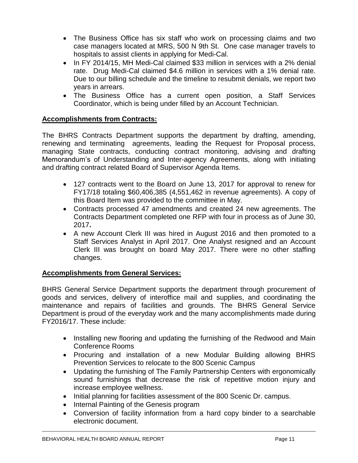- The Business Office has six staff who work on processing claims and two case managers located at MRS, 500 N 9th St. One case manager travels to hospitals to assist clients in applying for Medi-Cal.
- In FY 2014/15, MH Medi-Cal claimed \$33 million in services with a 2% denial rate. Drug Medi-Cal claimed \$4.6 million in services with a 1% denial rate. Due to our billing schedule and the timeline to resubmit denials, we report two years in arrears.
- The Business Office has a current open position, a Staff Services Coordinator, which is being under filled by an Account Technician.

# **Accomplishments from Contracts:**

The BHRS Contracts Department supports the department by drafting, amending, renewing and terminating agreements, leading the Request for Proposal process, managing State contracts, conducting contract monitoring, advising and drafting Memorandum's of Understanding and Inter-agency Agreements, along with initiating and drafting contract related Board of Supervisor Agenda Items.

- 127 contracts went to the Board on June 13, 2017 for approval to renew for FY17/18 totaling \$60,406,385 (4,551,462 in revenue agreements). A copy of this Board Item was provided to the committee in May.
- Contracts processed 47 amendments and created 24 new agreements. The Contracts Department completed one RFP with four in process as of June 30, 2017**.**
- A new Account Clerk III was hired in August 2016 and then promoted to a Staff Services Analyst in April 2017. One Analyst resigned and an Account Clerk III was brought on board May 2017. There were no other staffing changes.

#### **Accomplishments from General Services:**

BHRS General Service Department supports the department through procurement of goods and services, delivery of interoffice mail and supplies, and coordinating the maintenance and repairs of facilities and grounds. The BHRS General Service Department is proud of the everyday work and the many accomplishments made during FY2016/17. These include:

- Installing new flooring and updating the furnishing of the Redwood and Main Conference Rooms
- Procuring and installation of a new Modular Building allowing BHRS Prevention Services to relocate to the 800 Scenic Campus
- Updating the furnishing of The Family Partnership Centers with ergonomically sound furnishings that decrease the risk of repetitive motion injury and increase employee wellness.
- Initial planning for facilities assessment of the 800 Scenic Dr. campus.
- Internal Painting of the Genesis program
- Conversion of facility information from a hard copy binder to a searchable electronic document.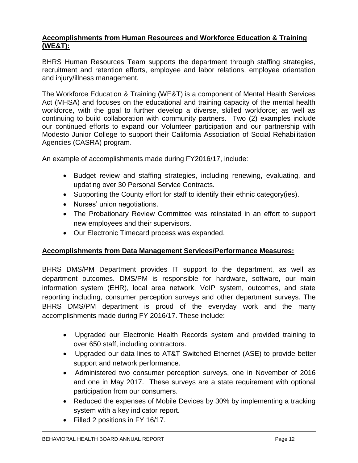# **Accomplishments from Human Resources and Workforce Education & Training (WE&T):**

BHRS Human Resources Team supports the department through staffing strategies, recruitment and retention efforts, employee and labor relations, employee orientation and injury/illness management.

The Workforce Education & Training (WE&T) is a component of Mental Health Services Act (MHSA) and focuses on the educational and training capacity of the mental health workforce, with the goal to further develop a diverse, skilled workforce; as well as continuing to build collaboration with community partners. Two (2) examples include our continued efforts to expand our Volunteer participation and our partnership with Modesto Junior College to support their California Association of Social Rehabilitation Agencies (CASRA) program.

An example of accomplishments made during FY2016/17, include:

- Budget review and staffing strategies, including renewing, evaluating, and updating over 30 Personal Service Contracts.
- Supporting the County effort for staff to identify their ethnic category(ies).
- Nurses' union negotiations.
- The Probationary Review Committee was reinstated in an effort to support new employees and their supervisors.
- Our Electronic Timecard process was expanded.

# **Accomplishments from Data Management Services/Performance Measures:**

BHRS DMS/PM Department provides IT support to the department, as well as department outcomes. DMS/PM is responsible for hardware, software, our main information system (EHR), local area network, VoIP system, outcomes, and state reporting including, consumer perception surveys and other department surveys. The BHRS DMS/PM department is proud of the everyday work and the many accomplishments made during FY 2016/17. These include:

- Upgraded our Electronic Health Records system and provided training to over 650 staff, including contractors.
- Upgraded our data lines to AT&T Switched Ethernet (ASE) to provide better support and network performance.
- Administered two consumer perception surveys, one in November of 2016 and one in May 2017. These surveys are a state requirement with optional participation from our consumers.
- Reduced the expenses of Mobile Devices by 30% by implementing a tracking system with a key indicator report.
- Filled 2 positions in FY 16/17.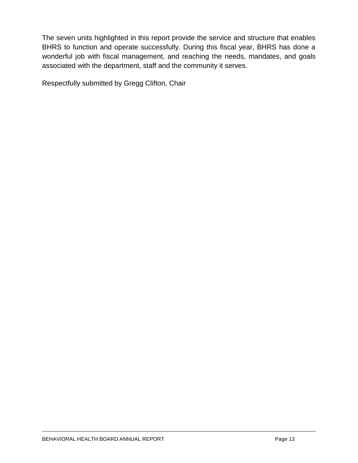The seven units highlighted in this report provide the service and structure that enables BHRS to function and operate successfully. During this fiscal year, BHRS has done a wonderful job with fiscal management, and reaching the needs, mandates, and goals associated with the department, staff and the community it serves.

Respectfully submitted by Gregg Clifton, Chair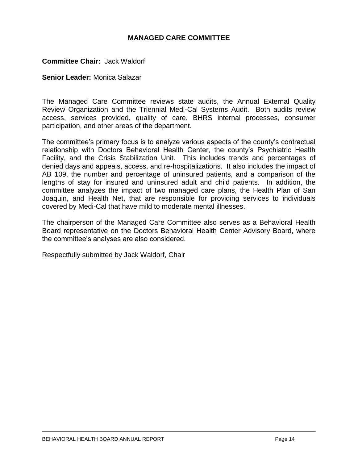#### **MANAGED CARE COMMITTEE**

#### **Committee Chair:** Jack Waldorf

#### **Senior Leader:** Monica Salazar

The Managed Care Committee reviews state audits, the Annual External Quality Review Organization and the Triennial Medi-Cal Systems Audit. Both audits review access, services provided, quality of care, BHRS internal processes, consumer participation, and other areas of the department.

The committee's primary focus is to analyze various aspects of the county's contractual relationship with Doctors Behavioral Health Center, the county's Psychiatric Health Facility, and the Crisis Stabilization Unit. This includes trends and percentages of denied days and appeals, access, and re-hospitalizations. It also includes the impact of AB 109, the number and percentage of uninsured patients, and a comparison of the lengths of stay for insured and uninsured adult and child patients. In addition, the committee analyzes the impact of two managed care plans, the Health Plan of San Joaquin, and Health Net, that are responsible for providing services to individuals covered by Medi-Cal that have mild to moderate mental illnesses.

The chairperson of the Managed Care Committee also serves as a Behavioral Health Board representative on the Doctors Behavioral Health Center Advisory Board, where the committee's analyses are also considered.

Respectfully submitted by Jack Waldorf, Chair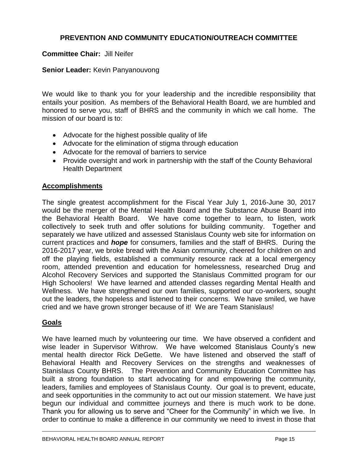# **PREVENTION AND COMMUNITY EDUCATION/OUTREACH COMMITTEE**

#### **Committee Chair:** Jill Neifer

#### **Senior Leader:** Kevin Panyanouvong

We would like to thank you for your leadership and the incredible responsibility that entails your position. As members of the Behavioral Health Board, we are humbled and honored to serve you, staff of BHRS and the community in which we call home. The mission of our board is to:

- Advocate for the highest possible quality of life
- Advocate for the elimination of stigma through education
- Advocate for the removal of barriers to service
- Provide oversight and work in partnership with the staff of the County Behavioral Health Department

#### **Accomplishments**

The single greatest accomplishment for the Fiscal Year July 1, 2016-June 30, 2017 would be the merger of the Mental Health Board and the Substance Abuse Board into the Behavioral Health Board. We have come together to learn, to listen, work collectively to seek truth and offer solutions for building community. Together and separately we have utilized and assessed Stanislaus County web site for information on current practices and *hope* for consumers, families and the staff of BHRS. During the 2016-2017 year, we broke bread with the Asian community, cheered for children on and off the playing fields, established a community resource rack at a local emergency room, attended prevention and education for homelessness, researched Drug and Alcohol Recovery Services and supported the Stanislaus Committed program for our High Schoolers! We have learned and attended classes regarding Mental Health and Wellness. We have strengthened our own families, supported our co-workers, sought out the leaders, the hopeless and listened to their concerns. We have smiled, we have cried and we have grown stronger because of it! We are Team Stanislaus!

# **Goals**

We have learned much by volunteering our time. We have observed a confident and wise leader in Supervisor Withrow. We have welcomed Stanislaus County's new mental health director Rick DeGette. We have listened and observed the staff of Behavioral Health and Recovery Services on the strengths and weaknesses of Stanislaus County BHRS. The Prevention and Community Education Committee has built a strong foundation to start advocating for and empowering the community, leaders, families and employees of Stanislaus County. Our goal is to prevent, educate, and seek opportunities in the community to act out our mission statement. We have just begun our individual and committee journeys and there is much work to be done. Thank you for allowing us to serve and "Cheer for the Community" in which we live. In order to continue to make a difference in our community we need to invest in those that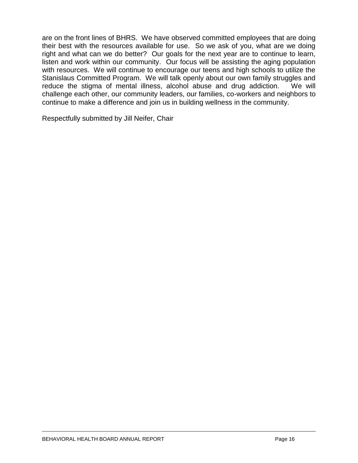are on the front lines of BHRS. We have observed committed employees that are doing their best with the resources available for use. So we ask of you, what are we doing right and what can we do better? Our goals for the next year are to continue to learn, listen and work within our community. Our focus will be assisting the aging population with resources. We will continue to encourage our teens and high schools to utilize the Stanislaus Committed Program. We will talk openly about our own family struggles and reduce the stigma of mental illness, alcohol abuse and drug addiction. We will challenge each other, our community leaders, our families, co-workers and neighbors to continue to make a difference and join us in building wellness in the community.

Respectfully submitted by Jill Neifer, Chair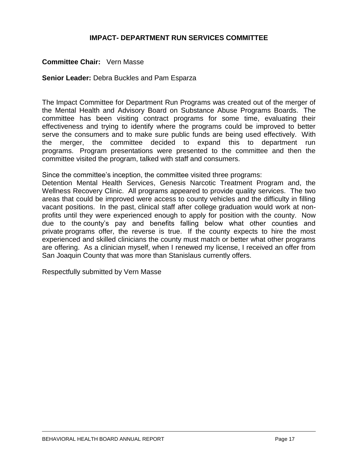#### **IMPACT- DEPARTMENT RUN SERVICES COMMITTEE**

#### **Committee Chair:** Vern Masse

#### **Senior Leader:** Debra Buckles and Pam Esparza

The Impact Committee for Department Run Programs was created out of the merger of the Mental Health and Advisory Board on Substance Abuse Programs Boards. The committee has been visiting contract programs for some time, evaluating their effectiveness and trying to identify where the programs could be improved to better serve the consumers and to make sure public funds are being used effectively. With the merger, the committee decided to expand this to department run programs. Program presentations were presented to the committee and then the committee visited the program, talked with staff and consumers.

Since the committee's inception, the committee visited three programs:

Detention Mental Health Services, Genesis Narcotic Treatment Program and, the Wellness Recovery Clinic. All programs appeared to provide quality services. The two areas that could be improved were access to county vehicles and the difficulty in filling vacant positions. In the past, clinical staff after college graduation would work at nonprofits until they were experienced enough to apply for position with the county. Now due to the county's pay and benefits falling below what other counties and private programs offer, the reverse is true. If the county expects to hire the most experienced and skilled clinicians the county must match or better what other programs are offering. As a clinician myself, when I renewed my license, I received an offer from San Joaquin County that was more than Stanislaus currently offers.

Respectfully submitted by Vern Masse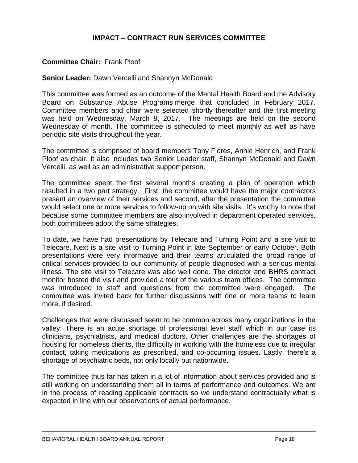# **IMPACT – CONTRACT RUN SERVICES COMMITTEE**

#### **Committee Chair:** Frank Ploof

#### **Senior Leader:** Dawn Vercelli and Shannyn McDonald

This committee was formed as an outcome of the Mental Health Board and the Advisory Board on Substance Abuse Programs merge that concluded in February 2017. Committee members and chair were selected shortly thereafter and the first meeting was held on Wednesday, March 8, 2017. The meetings are held on the second Wednesday of month. The committee is scheduled to meet monthly as well as have periodic site visits throughout the year.

The committee is comprised of board members Tony Flores, Annie Henrich, and Frank Ploof as chair. It also includes two Senior Leader staff, Shannyn McDonald and Dawn Vercelli, as well as an administrative support person.

The committee spent the first several months creating a plan of operation which resulted in a two part strategy. First, the committee would have the major contractors present an overview of their services and second, after the presentation the committee would select one or more services to follow-up on with site visits. It's worthy to note that because some committee members are also involved in department operated services, both committees adopt the same strategies.

To date, we have had presentations by Telecare and Turning Point and a site visit to Telecare. Next is a site visit to Turning Point in late September or early October. Both presentations were very informative and their teams articulated the broad range of critical services provided to our community of people diagnosed with a serious mental illness. The site visit to Telecare was also well done. The director and BHRS contract monitor hosted the visit and provided a tour of the various team offices. The committee was introduced to staff and questions from the committee were engaged. The committee was invited back for further discussions with one or more teams to learn more, if desired.

Challenges that were discussed seem to be common across many organizations in the valley. There is an acute shortage of professional level staff which in our case its clinicians, psychiatrists, and medical doctors. Other challenges are the shortages of housing for homeless clients, the difficulty in working with the homeless due to irregular contact, taking medications as prescribed, and co-occurring issues. Lastly, there's a shortage of psychiatric beds, not only locally but nationwide.

The committee thus far has taken in a lot of information about services provided and is still working on understanding them all in terms of performance and outcomes. We are in the process of reading applicable contracts so we understand contractually what is expected in line with our observations of actual performance.